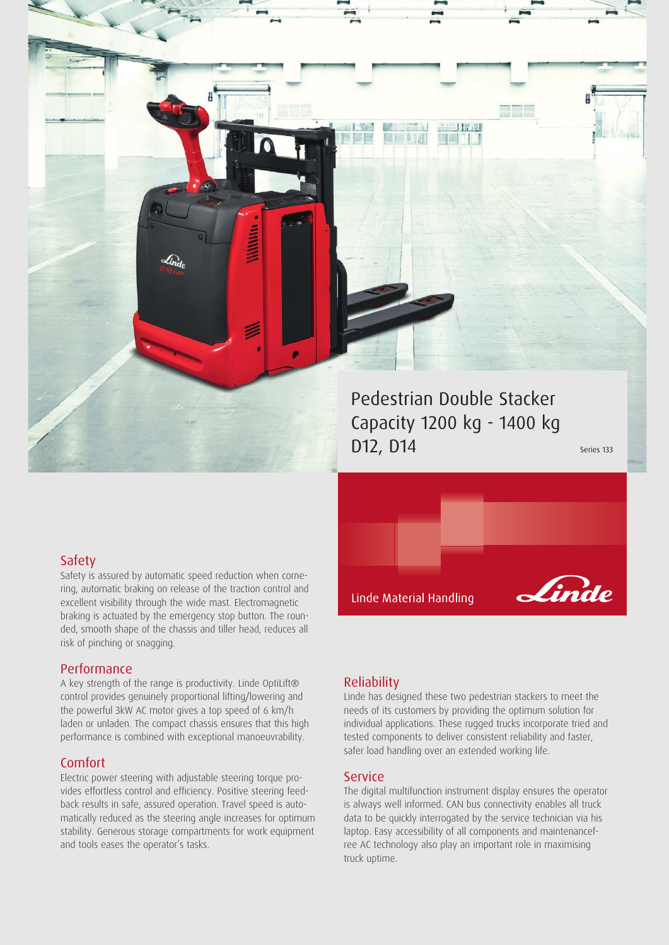Pedestrian Double Stacker Capacity 1200 kg - 1400 kg  $D12, D14$  Series 133

1時間

Linde

### Safety

Safety is assured by automatic speed reduction when cornering, automatic braking on release of the traction control and excellent visibility through the wide mast. Electromagnetic braking is actuated by the emergency stop button. The rounded, smooth shape of the chassis and tiller head, reduces all risk of pinching or snagging.

### Performance

A key strength of the range is productivity. Linde OptiLift® control provides genuinely proportional lifting/lowering and the powerful 3kW AC motor gives a top speed of 6 km/h laden or unladen. The compact chassis ensures that this high performance is combined with exceptional manoeuvrability.

### Comfort

Electric power steering with adjustable steering torque provides effortless control and efficiency. Positive steering feedback results in safe, assured operation. Travel speed is automatically reduced as the steering angle increases for optimum stability. Generous storage compartments for work equipment and tools eases the operator's tasks.

### Reliability

Linde Material Handling

Linde has designed these two pedestrian stackers to meet the needs of its customers by providing the optimum solution for individual applications. These rugged trucks incorporate tried and tested components to deliver consistent reliability and faster, safer load handling over an extended working life.

#### Service

The digital multifunction instrument display ensures the operator is always well informed. CAN bus connectivity enables all truck data to be quickly interrogated by the service technician via his laptop. Easy accessibility of all components and maintenancefree AC technology also play an important role in maximising truck uptime.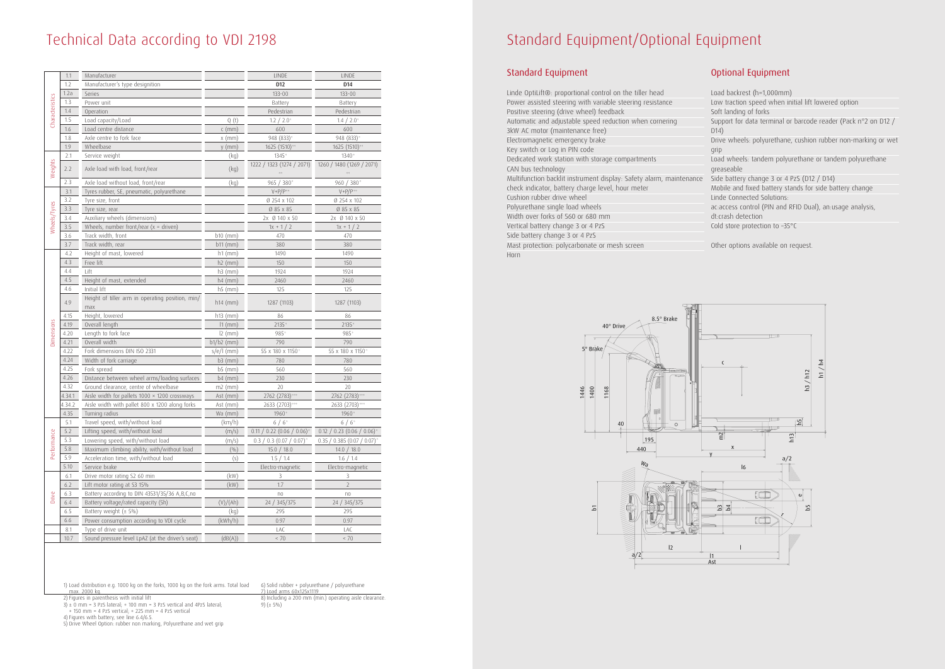## Technical Data according to VDI 2198

|                 | 1.1    | Manufacturer                                         |              | LINDE                           | <b>LINDE</b>                    |
|-----------------|--------|------------------------------------------------------|--------------|---------------------------------|---------------------------------|
| Characteristics | 1.2    | Manufacturer's type designition                      |              | D <sub>12</sub>                 | D <sub>14</sub>                 |
|                 | 1.2a   | Series                                               |              | 133-00                          | $133 - 00$                      |
|                 | 1.3    | Power unit                                           |              | Battery                         | Battery                         |
|                 | 1.4    |                                                      |              |                                 | Pedestrian                      |
|                 | 1.5    | Operation                                            |              | Pedestrian                      |                                 |
|                 |        | Load capacity/Load                                   | Q(t)         | 1.2 / 2.0                       | 1.4 / 2.0                       |
|                 | 1.6    | Load centre distance                                 | $c$ (mm)     | 600                             | 600                             |
| Weights         | 1.8    | Axle centre to fork face                             | $x \, (mm)$  | 948 (833)                       | 948 (833)                       |
|                 | 1.9    | Wheelbase                                            | $y$ (mm)     | 1625 (1510) <sup>2131</sup>     | 1625 (1510) <sup>238</sup>      |
|                 | 2.1    | Service weight                                       | (kq)         | 1345 <sup>*</sup>               | 1340 <sup>*</sup>               |
|                 | 2.2    | Axle load with load, front/rear                      | (kq)         | 1222 / 1323 (1274 / 2071)       | 1260 / 1480 (1269 / 2071)       |
|                 | 2.3    | Axle load without load, front/rear                   | (kq)         | 965 / 380*                      | 960 / 380                       |
| Wheels/Tyres    | 3.1    | Tyres rubber, SE, pneumatic, polyurethane            |              | $V + P/P$                       | $V + P/P$ <sup>35</sup>         |
|                 | 3.2    | Tyre size, front                                     |              | Ø 254 x 102                     | Ø 254 x 102                     |
|                 | 3.3    | Tyre size, rear                                      |              | Ø 85 x 85                       | Ø 85 x 85                       |
|                 | 3.4    | Auxiliary wheels (dimensions)                        |              | 2x Ø 140 x 50                   | 2x Ø 140 x 50                   |
|                 | 3.5    | Wheels, number front/rear $(x =$ driven)             |              | $1x + 1/2$                      | $1x + 1/2$                      |
|                 | 3.6    | Track width, front                                   | $b10$ (mm)   | 470                             | 470                             |
|                 | 3.7    | Track width, rear                                    | $b11$ (mm)   | 380                             | 380                             |
|                 | 4.2    | Height of mast, lowered                              | $h1$ (mm)    | 1490                            | 1490                            |
|                 | 4.3    | Free lift                                            | $h2$ (mm)    | 150                             | 150                             |
|                 | 4.4    | Lift                                                 | $h3$ (mm)    | 1924                            | 1924                            |
|                 | 4.5    | Height of mast, extended                             | $h4$ (mm)    | 2460                            | 2460                            |
|                 | 4.6    | Initial lift                                         | $h5$ (mm)    | 125                             | 125                             |
|                 |        | Height of tiller arm in operating position, min/     |              |                                 |                                 |
| Dimensions      | 4.9    | max                                                  | $h14$ (mm)   | 1287 (1103)                     | 1287 (1103)                     |
|                 | 4.15   | Height, lowered                                      | $h13$ (mm)   | 86                              | 86                              |
|                 | 4.19   | Overall length                                       | $11$ (mm)    | $2135$ <sup>s)</sup>            | 2135                            |
|                 | 4.20   | Length to fork face                                  | $12 \, (mm)$ | 985                             | 985                             |
|                 | 4.21   | Overall width                                        | b1/b2 (mm)   | 790                             | 790                             |
|                 | 4.22   | Fork dimensions DIN ISO 2331                         | $s/e/l$ (mm) | 55 x 180 x 1150                 | 55 x 180 x 1150                 |
|                 | 4.24   | Width of fork carriage                               | $b3$ (mm)    | 780                             | 780                             |
|                 | 4.25   | Fork spread                                          | $b5$ (mm)    | 560                             | 560                             |
|                 | 4.26   | Distance between wheel arms/loading surfaces         | $b4$ (mm)    | 230                             | 230                             |
|                 | 4.32   | Ground clearance, centre of wheelbase                | $m2$ (mm)    | 20                              | 20                              |
|                 | 4.34.1 | Aisle width for pallets $1000 \times 1200$ crossways | Ast $(mm)$   | 2762 (2783)                     | 2762 (2783)                     |
|                 | 4.34.2 | Aisle width with pallet 800 x 1200 along forks       | Ast $(mm)$   | 2633 (2703)                     | 2633 (2703)                     |
|                 | 4.35   | Turning radius                                       | Wa (mm)      | 1960                            | 1960*                           |
| Performance     | 5.1    | Travel speed, with/without load                      | (km/h)       | 6/6                             | 6/6                             |
|                 | 5.2    | Lifting speed, with/without load                     | (m/s)        | $0.11 / 0.22 (0.06 / 0.06)^{n}$ | $0.12 / 0.23 (0.06 / 0.06)^{n}$ |
|                 | 5.3    | Lowering speed, with/without load                    | (m/s)        | $0.3 / 0.3 (0.07 / 0.07)^{3}$   | 0.35 / 0.385 (0.07 / 0.07)      |
|                 | 5.8    | Maximum climbing ability, with/without load          | (0/0)        | 15.0 / 18.0                     | 14.0 / 18.0                     |
|                 | 5.9    | Acceleration time, with/without load                 | (s)          | 1.5 / 1.4                       | 1.6 / 1.4                       |
|                 | 5.10   | Service brake                                        |              | Electro-magnetic                | Electro-magnetic                |
|                 | 6.1    | Drive motor rating S2 60 min                         | (kW)         | 3                               | 3                               |
|                 | $6.2$  | Lift motor rating at S3 15%                          | (kW)         | 1.7                             | 2                               |
|                 | 6.3    | Battery according to DIN 43531/35/36 A,B,C,no        |              | $\cap$                          | $\cap$                          |
| Drive           | 6.4    | Battery voltage/rated capacity (5h)                  | (V)/(Ah)     | 24 / 345/375                    | 24 / 345/375                    |
|                 | 6.5    | Battery weight $(\pm 5\%)$                           | (kq)         | 295                             | 295                             |
|                 | 6.6    | Power consumption according to VDI cycle             | (kWh/h)      | 0.97                            | 0.97                            |
|                 | 8.1    | Type of drive unit                                   |              | LAC                             | LAC                             |
|                 | 10.7   | Sound pressure level LpAZ (at the driver's seat)     | (dB(A))      | $< 70$                          | $< 70$                          |
|                 |        |                                                      |              |                                 |                                 |

- Load backrest (h=1,000mm)
- Low traction speed when initial lift lowered option
- Soft landing of forks
- Support for data terminal or barcode reader (Pack n°2 on D12 / D14)
- Drive wheels: polyurethane, cushion rubber non-marking or wet grip
- Load wheels: tandem polyurethane or tandem polyurethane greaseable
- Side battery change 3 or 4 PzS (D12 / D14)
- Mobile and fixed battery stands for side battery change
- Linde Connected Solutions:
- ac:access control (PIN and RFID Dual), an:usage analysis,
- dt:crash detection
- Cold store protection to -35°C

 $3$   $\pm$  0 mm = 3 PzS lateral; + 100 mm = 3 PzS vertical and 4PzS lateral; + 150 mm = 4 PzS vertical; + 225 mm = 4 PzS vertical

 8) Including a 200 mm (min.) operating aisle clearance. 9)  $(\pm 5\%)$ 

# Standard Equipment/Optional Equipment

|  | Standard Equipment |
|--|--------------------|
|--|--------------------|

| Linde OptiLift®: proportional control on the tiller head            |  |  |  |
|---------------------------------------------------------------------|--|--|--|
| Power assisted steering with variable steering resistance           |  |  |  |
| Positive steering (drive wheel) feedback                            |  |  |  |
| Automatic and adjustable speed reduction when cornering             |  |  |  |
| 3kW AC motor (maintenance free)                                     |  |  |  |
| Electromagnetic emergency brake                                     |  |  |  |
| Key switch or Log in PIN code                                       |  |  |  |
| Dedicated work station with storage compartments                    |  |  |  |
| CAN bus technology                                                  |  |  |  |
| Multifunction backlit instrument display: Safety alarm, maintenance |  |  |  |
| check indicator, battery charge level, hour meter                   |  |  |  |
| Cushion rubber drive wheel                                          |  |  |  |
| Polyurethane single load wheels                                     |  |  |  |
| Width over forks of 560 or 680 mm                                   |  |  |  |
| Vertical battery change 3 or 4 PzS                                  |  |  |  |
| Side battery change 3 or 4 PzS                                      |  |  |  |
| Mast protection: polycarbonate or mesh screen                       |  |  |  |
| Horn                                                                |  |  |  |



### Optional Equipment

Other options available on request.

 1) Load distribution e.g. 1000 kg on the forks, 1000 kg on the fork arms. Total load max. 2000 kg.

2) Figures in parenthesis with initial lift

4) Figures with battery, see line 6.4/6.5.

5) Drive Wheel Option: rubber non marking, Polyurethane and wet grip

 6) Solid rubber + polyurethane / polyurethane 7) Load arms 60x125x1119